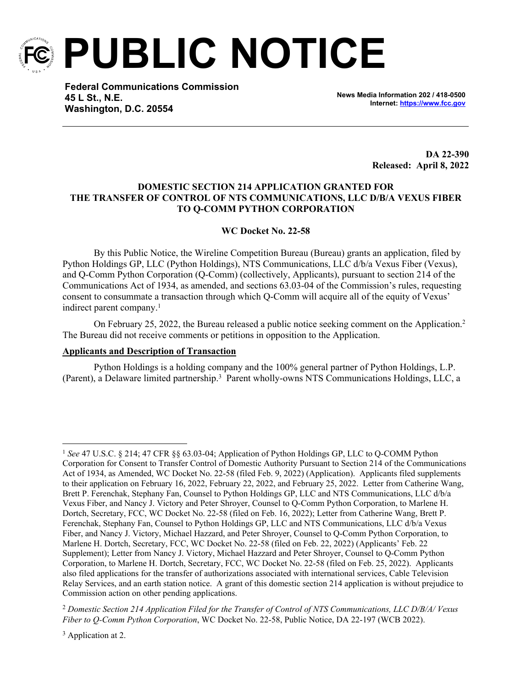

**PUBLIC NOTICE**

**Federal Communications Commission 45 L St., N.E. Washington, D.C. 20554**

**News Media Information 202 / 418-0500 Internet:<https://www.fcc.gov>**

> **DA 22-390 Released: April 8, 2022**

## **DOMESTIC SECTION 214 APPLICATION GRANTED FOR THE TRANSFER OF CONTROL OF NTS COMMUNICATIONS, LLC D/B/A VEXUS FIBER TO Q-COMM PYTHON CORPORATION**

## **WC Docket No. 22-58**

By this Public Notice, the Wireline Competition Bureau (Bureau) grants an application, filed by Python Holdings GP, LLC (Python Holdings), NTS Communications, LLC d/b/a Vexus Fiber (Vexus), and Q-Comm Python Corporation (Q-Comm) (collectively, Applicants), pursuant to section 214 of the Communications Act of 1934, as amended, and sections 63.03-04 of the Commission's rules, requesting consent to consummate a transaction through which Q-Comm will acquire all of the equity of Vexus' indirect parent company.<sup>1</sup>

On February 25, 2022, the Bureau released a public notice seeking comment on the Application.<sup>2</sup> The Bureau did not receive comments or petitions in opposition to the Application.

## **Applicants and Description of Transaction**

Python Holdings is a holding company and the 100% general partner of Python Holdings, L.P. (Parent), a Delaware limited partnership.<sup>3</sup> Parent wholly-owns NTS Communications Holdings, LLC, a

<sup>3</sup> Application at 2.

<sup>1</sup> *See* 47 U.S.C. § 214; 47 CFR §§ 63.03-04; Application of Python Holdings GP, LLC to Q-COMM Python Corporation for Consent to Transfer Control of Domestic Authority Pursuant to Section 214 of the Communications Act of 1934, as Amended, WC Docket No. 22-58 (filed Feb. 9, 2022) (Application). Applicants filed supplements to their application on February 16, 2022, February 22, 2022, and February 25, 2022. Letter from Catherine Wang, Brett P. Ferenchak, Stephany Fan, Counsel to Python Holdings GP, LLC and NTS Communications, LLC d/b/a Vexus Fiber, and Nancy J. Victory and Peter Shroyer, Counsel to Q-Comm Python Corporation, to Marlene H. Dortch, Secretary, FCC, WC Docket No. 22-58 (filed on Feb. 16, 2022); Letter from Catherine Wang, Brett P. Ferenchak, Stephany Fan, Counsel to Python Holdings GP, LLC and NTS Communications, LLC d/b/a Vexus Fiber, and Nancy J. Victory, Michael Hazzard, and Peter Shroyer, Counsel to Q-Comm Python Corporation, to Marlene H. Dortch, Secretary, FCC, WC Docket No. 22-58 (filed on Feb. 22, 2022) (Applicants' Feb. 22 Supplement); Letter from Nancy J. Victory, Michael Hazzard and Peter Shroyer, Counsel to Q-Comm Python Corporation, to Marlene H. Dortch, Secretary, FCC, WC Docket No. 22-58 (filed on Feb. 25, 2022). Applicants also filed applications for the transfer of authorizations associated with international services, Cable Television Relay Services, and an earth station notice. A grant of this domestic section 214 application is without prejudice to Commission action on other pending applications.

<sup>2</sup> *Domestic Section 214 Application Filed for the Transfer of Control of NTS Communications, LLC D/B/A/ Vexus Fiber to Q-Comm Python Corporation*, WC Docket No. 22-58, Public Notice, DA 22-197 (WCB 2022).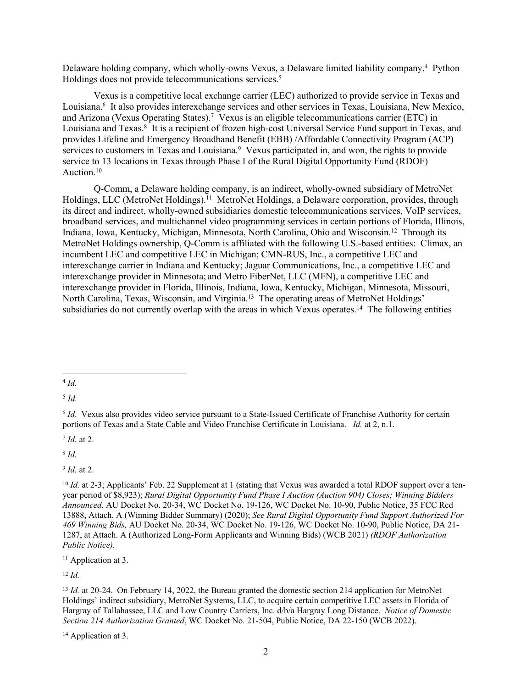Delaware holding company, which wholly-owns Vexus, a Delaware limited liability company.<sup>4</sup> Python Holdings does not provide telecommunications services.<sup>5</sup>

Vexus is a competitive local exchange carrier (LEC) authorized to provide service in Texas and Louisiana.<sup>6</sup> It also provides interexchange services and other services in Texas, Louisiana, New Mexico, and Arizona (Vexus Operating States).<sup>7</sup> Vexus is an eligible telecommunications carrier (ETC) in Louisiana and Texas.<sup>8</sup> It is a recipient of frozen high-cost Universal Service Fund support in Texas, and provides Lifeline and Emergency Broadband Benefit (EBB) /Affordable Connectivity Program (ACP) services to customers in Texas and Louisiana.<sup>9</sup> Vexus participated in, and won, the rights to provide service to 13 locations in Texas through Phase I of the Rural Digital Opportunity Fund (RDOF) Auction.<sup>10</sup>

Q-Comm, a Delaware holding company, is an indirect, wholly-owned subsidiary of MetroNet Holdings, LLC (MetroNet Holdings).<sup>11</sup> MetroNet Holdings, a Delaware corporation, provides, through its direct and indirect, wholly-owned subsidiaries domestic telecommunications services, VoIP services, broadband services, and multichannel video programming services in certain portions of Florida, Illinois, Indiana, Iowa, Kentucky, Michigan, Minnesota, North Carolina, Ohio and Wisconsin.<sup>12</sup> Through its MetroNet Holdings ownership, Q-Comm is affiliated with the following U.S.-based entities: Climax, an incumbent LEC and competitive LEC in Michigan; CMN-RUS, Inc., a competitive LEC and interexchange carrier in Indiana and Kentucky; Jaguar Communications, Inc., a competitive LEC and interexchange provider in Minnesota; and Metro FiberNet, LLC (MFN), a competitive LEC and interexchange provider in Florida, Illinois, Indiana, Iowa, Kentucky, Michigan, Minnesota, Missouri, North Carolina, Texas, Wisconsin, and Virginia.<sup>13</sup> The operating areas of MetroNet Holdings' subsidiaries do not currently overlap with the areas in which Vexus operates.<sup>14</sup> The following entities

5 *Id.*

7 *Id.* at 2.

8 *Id.*

9 *Id.* at 2.

<sup>11</sup> Application at 3.

<sup>12</sup> *Id.*

<sup>4</sup> *Id.*

<sup>6</sup> *Id*. Vexus also provides video service pursuant to a State-Issued Certificate of Franchise Authority for certain portions of Texas and a State Cable and Video Franchise Certificate in Louisiana. *Id.* at 2, n.1.

<sup>&</sup>lt;sup>10</sup> *Id.* at 2-3; Applicants' Feb. 22 Supplement at 1 (stating that Vexus was awarded a total RDOF support over a tenyear period of \$8,923); *Rural Digital Opportunity Fund Phase I Auction (Auction 904) Closes; Winning Bidders Announced,* AU Docket No. 20-34, WC Docket No. 19-126, WC Docket No. 10-90, Public Notice, 35 FCC Rcd 13888, Attach. A (Winning Bidder Summary) (2020); *See Rural Digital Opportunity Fund Support Authorized For 469 Winning Bids,* AU Docket No. 20-34, WC Docket No. 19-126, WC Docket No. 10-90, Public Notice, DA 21- 1287, at Attach. A (Authorized Long-Form Applicants and Winning Bids) (WCB 2021) *(RDOF Authorization Public Notice).* 

<sup>&</sup>lt;sup>13</sup> *Id.* at 20-24. On February 14, 2022, the Bureau granted the domestic section 214 application for MetroNet Holdings' indirect subsidiary, MetroNet Systems, LLC, to acquire certain competitive LEC assets in Florida of Hargray of Tallahassee, LLC and Low Country Carriers, Inc. d/b/a Hargray Long Distance. *Notice of Domestic Section 214 Authorization Granted*, WC Docket No. 21-504, Public Notice, DA 22-150 (WCB 2022).

<sup>&</sup>lt;sup>14</sup> Application at 3.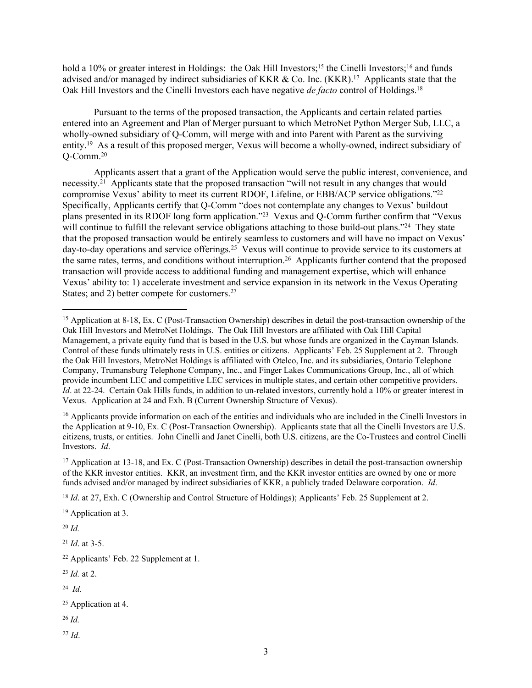hold a 10% or greater interest in Holdings: the Oak Hill Investors;<sup>15</sup> the Cinelli Investors;<sup>16</sup> and funds advised and/or managed by indirect subsidiaries of KKR & Co. Inc. (KKR).<sup>17</sup> Applicants state that the Oak Hill Investors and the Cinelli Investors each have negative *de facto* control of Holdings.<sup>18</sup>

Pursuant to the terms of the proposed transaction, the Applicants and certain related parties entered into an Agreement and Plan of Merger pursuant to which MetroNet Python Merger Sub, LLC, a wholly-owned subsidiary of Q-Comm, will merge with and into Parent with Parent as the surviving entity.<sup>19</sup> As a result of this proposed merger, Vexus will become a wholly-owned, indirect subsidiary of Q-Comm.<sup>20</sup>

Applicants assert that a grant of the Application would serve the public interest, convenience, and necessity.<sup>21</sup> Applicants state that the proposed transaction "will not result in any changes that would compromise Vexus' ability to meet its current RDOF, Lifeline, or EBB/ACP service obligations."<sup>22</sup> Specifically, Applicants certify that Q-Comm "does not contemplate any changes to Vexus' buildout plans presented in its RDOF long form application."<sup>23</sup> Vexus and Q-Comm further confirm that "Vexus will continue to fulfill the relevant service obligations attaching to those build-out plans."<sup>24</sup> They state that the proposed transaction would be entirely seamless to customers and will have no impact on Vexus' day-to-day operations and service offerings.<sup>25</sup> Vexus will continue to provide service to its customers at the same rates, terms, and conditions without interruption.<sup>26</sup> Applicants further contend that the proposed transaction will provide access to additional funding and management expertise, which will enhance Vexus' ability to: 1) accelerate investment and service expansion in its network in the Vexus Operating States; and 2) better compete for customers.<sup>27</sup>

<sup>16</sup> Applicants provide information on each of the entities and individuals who are included in the Cinelli Investors in the Application at 9-10, Ex. C (Post-Transaction Ownership). Applicants state that all the Cinelli Investors are U.S. citizens, trusts, or entities. John Cinelli and Janet Cinelli, both U.S. citizens, are the Co-Trustees and control Cinelli Investors. *Id*.

 $17$  Application at 13-18, and Ex. C (Post-Transaction Ownership) describes in detail the post-transaction ownership of the KKR investor entities. KKR, an investment firm, and the KKR investor entities are owned by one or more funds advised and/or managed by indirect subsidiaries of KKR, a publicly traded Delaware corporation. *Id*.

<sup>18</sup> *Id.* at 27, Exh. C (Ownership and Control Structure of Holdings); Applicants' Feb. 25 Supplement at 2.

<sup>19</sup> Application at 3.

<sup>20</sup> *Id.*

<sup>21</sup> *Id*. at 3-5.

<sup>23</sup> *Id.* at 2.

24 *Id.*

<sup>26</sup> *Id.*

<sup>27</sup> *Id*.

<sup>15</sup> Application at 8-18, Ex. C (Post-Transaction Ownership) describes in detail the post-transaction ownership of the Oak Hill Investors and MetroNet Holdings. The Oak Hill Investors are affiliated with Oak Hill Capital Management, a private equity fund that is based in the U.S. but whose funds are organized in the Cayman Islands. Control of these funds ultimately rests in U.S. entities or citizens. Applicants' Feb. 25 Supplement at 2. Through the Oak Hill Investors, MetroNet Holdings is affiliated with Otelco, Inc. and its subsidiaries, Ontario Telephone Company, Trumansburg Telephone Company, Inc., and Finger Lakes Communications Group, Inc., all of which provide incumbent LEC and competitive LEC services in multiple states, and certain other competitive providers. *Id.* at 22-24. Certain Oak Hills funds, in addition to un-related investors, currently hold a 10% or greater interest in Vexus. Application at 24 and Exh. B (Current Ownership Structure of Vexus).

<sup>22</sup> Applicants' Feb. 22 Supplement at 1.

<sup>25</sup> Application at 4.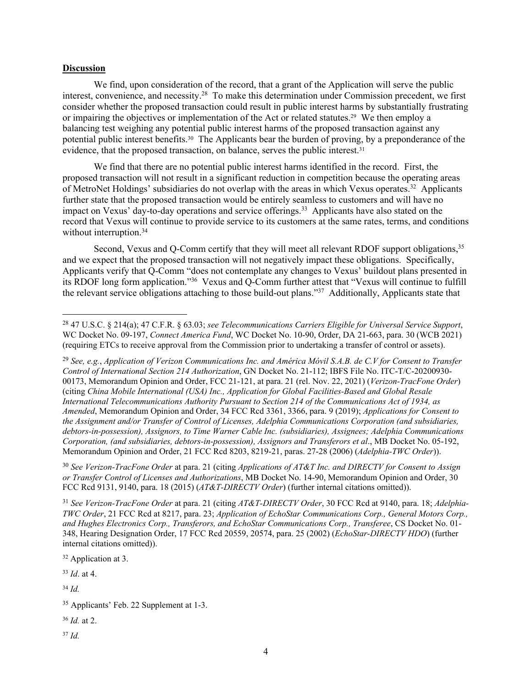## **Discussion**

We find, upon consideration of the record, that a grant of the Application will serve the public interest, convenience, and necessity.<sup>28</sup> To make this determination under Commission precedent, we first consider whether the proposed transaction could result in public interest harms by substantially frustrating or impairing the objectives or implementation of the Act or related statutes.29 We then employ a balancing test weighing any potential public interest harms of the proposed transaction against any potential public interest benefits.30 The Applicants bear the burden of proving, by a preponderance of the evidence, that the proposed transaction, on balance, serves the public interest.<sup>31</sup>

We find that there are no potential public interest harms identified in the record. First, the proposed transaction will not result in a significant reduction in competition because the operating areas of MetroNet Holdings' subsidiaries do not overlap with the areas in which Vexus operates.<sup>32</sup> Applicants further state that the proposed transaction would be entirely seamless to customers and will have no impact on Vexus' day-to-day operations and service offerings.<sup>33</sup> Applicants have also stated on the record that Vexus will continue to provide service to its customers at the same rates, terms, and conditions without interruption.<sup>34</sup>

Second, Vexus and Q-Comm certify that they will meet all relevant RDOF support obligations,<sup>35</sup> and we expect that the proposed transaction will not negatively impact these obligations. Specifically, Applicants verify that Q-Comm "does not contemplate any changes to Vexus' buildout plans presented in its RDOF long form application."<sup>36</sup> Vexus and Q-Comm further attest that "Vexus will continue to fulfill the relevant service obligations attaching to those build-out plans."<sup>37</sup> Additionally, Applicants state that

<sup>29</sup> *See, e.g.*, *Application of Verizon Communications Inc. and América Móvil S.A.B. de C.V for Consent to Transfer Control of International Section 214 Authorization*, GN Docket No. 21-112; IBFS File No. ITC-T/C-20200930- 00173, Memorandum Opinion and Order, FCC 21-121, at para. 21 (rel. Nov. 22, 2021) (*Verizon-TracFone Order*) (citing *China Mobile International (USA) Inc., Application for Global Facilities-Based and Global Resale International Telecommunications Authority Pursuant to Section 214 of the Communications Act of 1934, as Amended*, Memorandum Opinion and Order, 34 FCC Rcd 3361, 3366, para. 9 (2019); *Applications for Consent to the Assignment and/or Transfer of Control of Licenses, Adelphia Communications Corporation (and subsidiaries, debtors-in-possession), Assignors, to Time Warner Cable Inc. (subsidiaries), Assignees; Adelphia Communications Corporation, (and subsidiaries, debtors-in-possession), Assignors and Transferors et al*., MB Docket No. 05-192, Memorandum Opinion and Order, 21 FCC Rcd 8203, 8219-21, paras. 27-28 (2006) (*Adelphia-TWC Order*)).

<sup>30</sup> *See Verizon-TracFone Order* at para. 21 (citing *Applications of AT&T Inc. and DIRECTV for Consent to Assign or Transfer Control of Licenses and Authorizations*, MB Docket No. 14-90, Memorandum Opinion and Order, 30 FCC Rcd 9131, 9140, para. 18 (2015) (*AT&T-DIRECTV Order*) (further internal citations omitted)).

<sup>31</sup> *See Verizon-TracFone Order* at para. 21 (citing *AT&T-DIRECTV Order*, 30 FCC Rcd at 9140, para. 18; *Adelphia-TWC Order*, 21 FCC Rcd at 8217, para. 23; *Application of EchoStar Communications Corp., General Motors Corp., and Hughes Electronics Corp., Transferors, and EchoStar Communications Corp., Transferee*, CS Docket No. 01- 348, Hearing Designation Order, 17 FCC Rcd 20559, 20574, para. 25 (2002) (*EchoStar-DIRECTV HDO*) (further internal citations omitted)).

<sup>32</sup> Application at 3.

<sup>33</sup> *Id*. at 4.

<sup>34</sup> *Id.*

<sup>35</sup> Applicants' Feb. 22 Supplement at 1-3.

<sup>36</sup> *Id.* at 2.

<sup>37</sup> *Id.*

<sup>28</sup> 47 U.S.C. § 214(a); 47 C.F.R. § 63.03; *see Telecommunications Carriers Eligible for Universal Service Support*, WC Docket No. 09-197, *Connect America Fund*, WC Docket No. 10-90, Order, DA 21-663, para. 30 (WCB 2021) (requiring ETCs to receive approval from the Commission prior to undertaking a transfer of control or assets).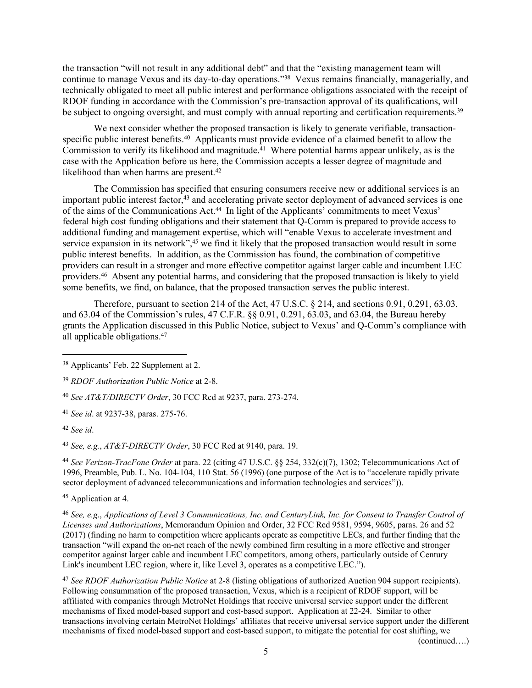the transaction "will not result in any additional debt" and that the "existing management team will continue to manage Vexus and its day-to-day operations."<sup>38</sup> Vexus remains financially, managerially, and technically obligated to meet all public interest and performance obligations associated with the receipt of RDOF funding in accordance with the Commission's pre-transaction approval of its qualifications, will be subject to ongoing oversight, and must comply with annual reporting and certification requirements.<sup>39</sup>

We next consider whether the proposed transaction is likely to generate verifiable, transactionspecific public interest benefits.<sup>40</sup> Applicants must provide evidence of a claimed benefit to allow the Commission to verify its likelihood and magnitude.<sup>41</sup> Where potential harms appear unlikely, as is the case with the Application before us here, the Commission accepts a lesser degree of magnitude and likelihood than when harms are present.<sup>42</sup>

The Commission has specified that ensuring consumers receive new or additional services is an important public interest factor,<sup>43</sup> and accelerating private sector deployment of advanced services is one of the aims of the Communications Act.44 In light of the Applicants' commitments to meet Vexus' federal high cost funding obligations and their statement that Q-Comm is prepared to provide access to additional funding and management expertise, which will "enable Vexus to accelerate investment and service expansion in its network",<sup>45</sup> we find it likely that the proposed transaction would result in some public interest benefits. In addition, as the Commission has found, the combination of competitive providers can result in a stronger and more effective competitor against larger cable and incumbent LEC providers.<sup>46</sup> Absent any potential harms, and considering that the proposed transaction is likely to yield some benefits, we find, on balance, that the proposed transaction serves the public interest.

Therefore, pursuant to section 214 of the Act, 47 U.S.C. § 214, and sections 0.91, 0.291, 63.03, and 63.04 of the Commission's rules, 47 C.F.R. §§ 0.91, 0.291, 63.03, and 63.04, the Bureau hereby grants the Application discussed in this Public Notice, subject to Vexus' and Q-Comm's compliance with all applicable obligations.<sup>47</sup>

<sup>41</sup> *See id*. at 9237-38, paras. 275-76.

<sup>42</sup> *See id*.

<sup>43</sup> *See, e.g.*, *AT&T-DIRECTV Order*, 30 FCC Rcd at 9140, para. 19.

<sup>44</sup> *See Verizon-TracFone Order* at para. 22 (citing 47 U.S.C. §§ 254, 332(c)(7), 1302; Telecommunications Act of 1996, Preamble, Pub. L. No. 104-104, 110 Stat. 56 (1996) (one purpose of the Act is to "accelerate rapidly private sector deployment of advanced telecommunications and information technologies and services")).

<sup>45</sup> Application at 4.

<sup>46</sup> *See, e.g*., *Applications of Level 3 Communications, Inc. and CenturyLink, Inc. for Consent to Transfer Control of Licenses and Authorizations*, Memorandum Opinion and Order, 32 FCC Rcd 9581, 9594, 9605, paras. 26 and 52 (2017) (finding no harm to competition where applicants operate as competitive LECs, and further finding that the transaction "will expand the on-net reach of the newly combined firm resulting in a more effective and stronger competitor against larger cable and incumbent LEC competitors, among others, particularly outside of Century Link's incumbent LEC region, where it, like Level 3, operates as a competitive LEC.").

<sup>47</sup> *See RDOF Authorization Public Notice* at 2-8 (listing obligations of authorized Auction 904 support recipients). Following consummation of the proposed transaction, Vexus, which is a recipient of RDOF support, will be affiliated with companies through MetroNet Holdings that receive universal service support under the different mechanisms of fixed model-based support and cost-based support. Application at 22-24. Similar to other transactions involving certain MetroNet Holdings' affiliates that receive universal service support under the different mechanisms of fixed model-based support and cost-based support, to mitigate the potential for cost shifting, we

(continued….)

<sup>38</sup> Applicants' Feb. 22 Supplement at 2.

<sup>39</sup> *RDOF Authorization Public Notice* at 2-8.

<sup>40</sup> *See AT&T/DIRECTV Order*, 30 FCC Rcd at 9237, para. 273-274.